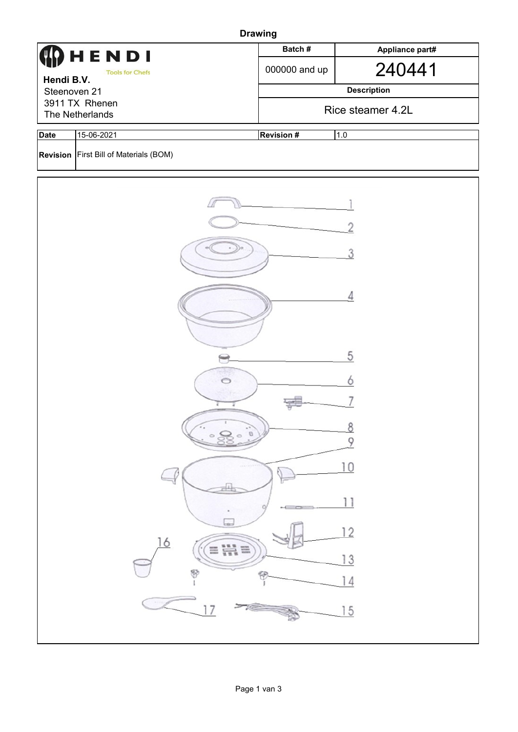| <b>Drawing</b>                       |                                          |                          |                    |  |  |  |  |  |
|--------------------------------------|------------------------------------------|--------------------------|--------------------|--|--|--|--|--|
|                                      | HENDI                                    | Batch#                   | Appliance part#    |  |  |  |  |  |
| <b>Tools for Chefs</b><br>Hendi B.V. |                                          | 000000 and up            | 240441             |  |  |  |  |  |
| Steenoven 21                         |                                          |                          | <b>Description</b> |  |  |  |  |  |
| 3911 TX Rhenen<br>The Netherlands    |                                          |                          | Rice steamer 4.2L  |  |  |  |  |  |
|                                      |                                          |                          |                    |  |  |  |  |  |
| <b>Date</b>                          | 15-06-2021                               | <b>Revision #</b><br>1.0 |                    |  |  |  |  |  |
|                                      | Revision   First Bill of Materials (BOM) |                          |                    |  |  |  |  |  |
|                                      |                                          |                          |                    |  |  |  |  |  |
|                                      |                                          |                          |                    |  |  |  |  |  |
|                                      |                                          |                          |                    |  |  |  |  |  |
|                                      |                                          |                          |                    |  |  |  |  |  |
|                                      |                                          |                          |                    |  |  |  |  |  |
|                                      |                                          |                          |                    |  |  |  |  |  |
|                                      | 4                                        |                          |                    |  |  |  |  |  |
|                                      |                                          |                          |                    |  |  |  |  |  |
|                                      |                                          |                          |                    |  |  |  |  |  |
|                                      |                                          |                          | 5                  |  |  |  |  |  |
|                                      |                                          |                          |                    |  |  |  |  |  |
|                                      |                                          |                          |                    |  |  |  |  |  |
|                                      |                                          |                          |                    |  |  |  |  |  |
| $\boldsymbol{\Theta}$                |                                          |                          |                    |  |  |  |  |  |
|                                      | 9                                        |                          |                    |  |  |  |  |  |
|                                      |                                          |                          |                    |  |  |  |  |  |
|                                      |                                          |                          |                    |  |  |  |  |  |
|                                      |                                          |                          |                    |  |  |  |  |  |
|                                      | Le                                       |                          |                    |  |  |  |  |  |
|                                      | 16                                       |                          | $\overline{2}$     |  |  |  |  |  |
|                                      |                                          | $\equiv \frac{111}{111}$ | 3                  |  |  |  |  |  |
|                                      | 8                                        |                          |                    |  |  |  |  |  |
|                                      |                                          |                          |                    |  |  |  |  |  |
|                                      |                                          |                          | 15                 |  |  |  |  |  |
|                                      |                                          |                          |                    |  |  |  |  |  |
|                                      |                                          |                          |                    |  |  |  |  |  |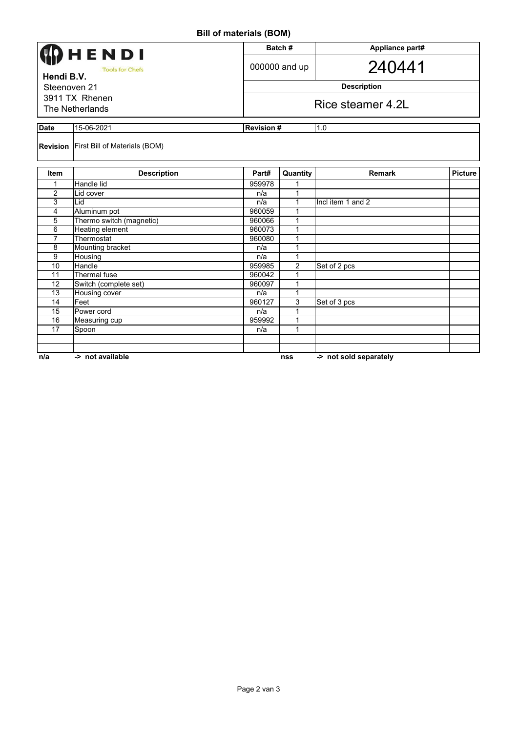## **Bill of materials (BOM)**

|                                                      |                                               | ן ווירען נוומנטוומוס (טווע |                         |                        |                |  |  |
|------------------------------------------------------|-----------------------------------------------|----------------------------|-------------------------|------------------------|----------------|--|--|
| <b>HENDI</b><br><b>Tools for Chefs</b><br>Hendi B.V. |                                               |                            | Batch#                  | Appliance part#        |                |  |  |
|                                                      |                                               |                            | 000000 and up           | 240441                 |                |  |  |
| Steenoven 21                                         |                                               |                            | <b>Description</b>      |                        |                |  |  |
| 3911 TX Rhenen<br>The Netherlands                    |                                               |                            | Rice steamer 4.2L       |                        |                |  |  |
| <b>Date</b>                                          | 15-06-2021                                    |                            | <b>Revision#</b><br>1.0 |                        |                |  |  |
|                                                      | <b>Revision</b> First Bill of Materials (BOM) |                            |                         |                        |                |  |  |
| <b>Item</b>                                          | <b>Description</b>                            | Part#                      | Quantity                | <b>Remark</b>          | <b>Picture</b> |  |  |
| 1                                                    | <b>Handle lid</b>                             | 959978                     | 1                       |                        |                |  |  |
| 2                                                    | Lid cover                                     | n/a                        | 1                       |                        |                |  |  |
| 3                                                    | Lid                                           | n/a                        | 1                       | Incl item 1 and 2      |                |  |  |
| 4                                                    | Aluminum pot                                  | 960059                     | 1                       |                        |                |  |  |
| 5                                                    | Thermo switch (magnetic)                      | 960066                     | 1                       |                        |                |  |  |
| 6                                                    | <b>Heating element</b>                        | 960073                     | 1                       |                        |                |  |  |
| $\overline{7}$                                       | Thermostat                                    | 960080                     | 1                       |                        |                |  |  |
| 8                                                    | Mounting bracket                              | n/a                        | 1                       |                        |                |  |  |
| $\overline{9}$                                       | Housing                                       | n/a                        | 1                       |                        |                |  |  |
| 10                                                   | Handle                                        | 959985                     | $\overline{c}$          | Set of 2 pcs           |                |  |  |
| 11                                                   | Thermal fuse                                  | 960042                     | 1                       |                        |                |  |  |
| 12                                                   | Switch (complete set)                         | 960097                     | 1                       |                        |                |  |  |
| 13                                                   | Housing cover                                 | n/a                        | 1                       |                        |                |  |  |
| 14                                                   | Feet                                          | 960127                     | 3                       | Set of 3 pcs           |                |  |  |
| 15                                                   | Power cord                                    | n/a                        | 1                       |                        |                |  |  |
| 16                                                   | Measuring cup                                 | 959992                     | 1                       |                        |                |  |  |
| 17                                                   | Spoon                                         | n/a                        | 1                       |                        |                |  |  |
|                                                      |                                               |                            |                         |                        |                |  |  |
|                                                      |                                               |                            |                         |                        |                |  |  |
| n/a                                                  | -> not available                              |                            | nss                     | -> not sold separately |                |  |  |